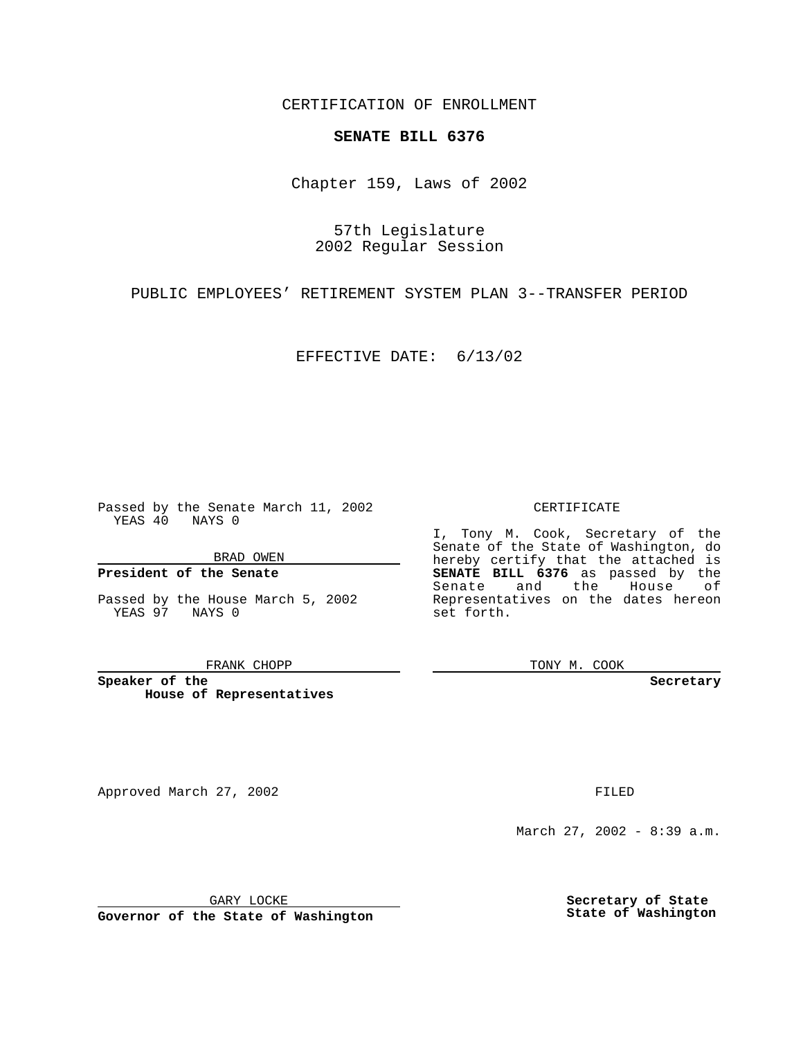CERTIFICATION OF ENROLLMENT

## **SENATE BILL 6376**

Chapter 159, Laws of 2002

57th Legislature 2002 Regular Session

PUBLIC EMPLOYEES' RETIREMENT SYSTEM PLAN 3--TRANSFER PERIOD

EFFECTIVE DATE: 6/13/02

Passed by the Senate March 11, 2002 YEAS 40 NAYS 0

BRAD OWEN

## **President of the Senate**

Passed by the House March 5, 2002 YEAS 97 NAYS 0

#### FRANK CHOPP

**Speaker of the House of Representatives**

Approved March 27, 2002 **FILED** 

#### CERTIFICATE

I, Tony M. Cook, Secretary of the Senate of the State of Washington, do hereby certify that the attached is **SENATE BILL 6376** as passed by the Senate and the House of Representatives on the dates hereon set forth.

TONY M. COOK

**Secretary**

March 27, 2002 - 8:39 a.m.

GARY LOCKE

**Governor of the State of Washington**

**Secretary of State State of Washington**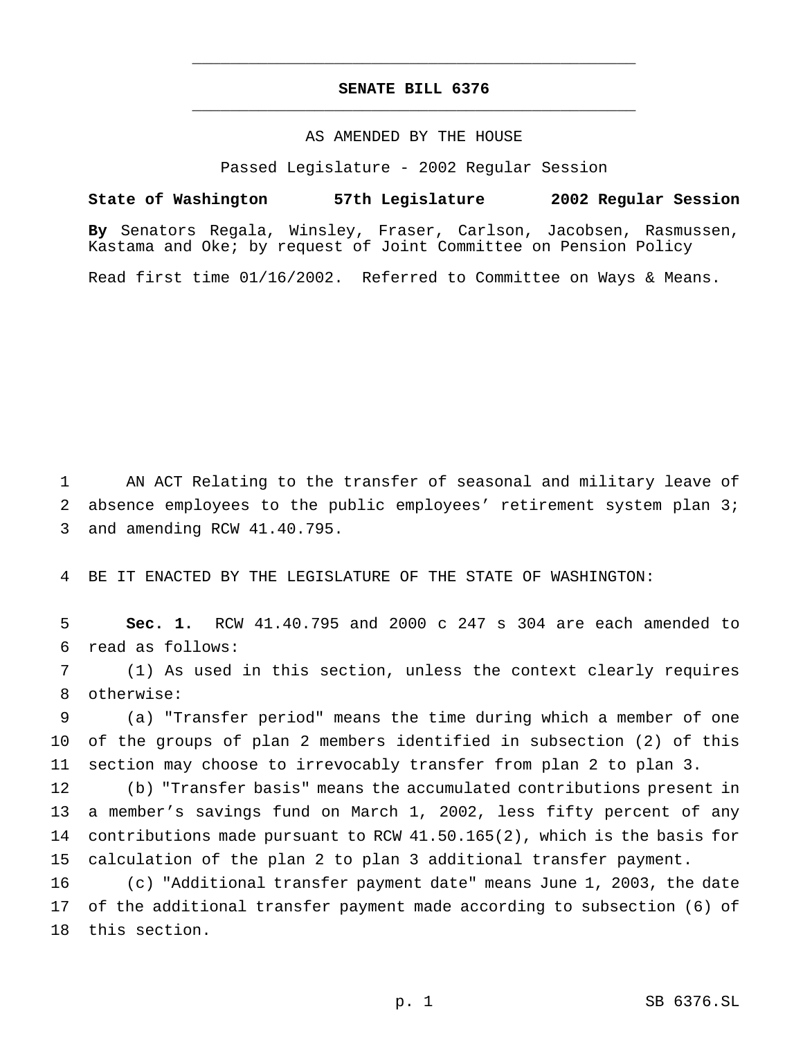# **SENATE BILL 6376** \_\_\_\_\_\_\_\_\_\_\_\_\_\_\_\_\_\_\_\_\_\_\_\_\_\_\_\_\_\_\_\_\_\_\_\_\_\_\_\_\_\_\_\_\_\_\_

\_\_\_\_\_\_\_\_\_\_\_\_\_\_\_\_\_\_\_\_\_\_\_\_\_\_\_\_\_\_\_\_\_\_\_\_\_\_\_\_\_\_\_\_\_\_\_

### AS AMENDED BY THE HOUSE

Passed Legislature - 2002 Regular Session

### **State of Washington 57th Legislature 2002 Regular Session**

**By** Senators Regala, Winsley, Fraser, Carlson, Jacobsen, Rasmussen, Kastama and Oke; by request of Joint Committee on Pension Policy

Read first time 01/16/2002. Referred to Committee on Ways & Means.

 AN ACT Relating to the transfer of seasonal and military leave of 2 absence employees to the public employees' retirement system plan 3; and amending RCW 41.40.795.

BE IT ENACTED BY THE LEGISLATURE OF THE STATE OF WASHINGTON:

 **Sec. 1.** RCW 41.40.795 and 2000 c 247 s 304 are each amended to read as follows:

 (1) As used in this section, unless the context clearly requires otherwise:

 (a) "Transfer period" means the time during which a member of one of the groups of plan 2 members identified in subsection (2) of this section may choose to irrevocably transfer from plan 2 to plan 3.

 (b) "Transfer basis" means the accumulated contributions present in a member's savings fund on March 1, 2002, less fifty percent of any contributions made pursuant to RCW 41.50.165(2), which is the basis for calculation of the plan 2 to plan 3 additional transfer payment.

 (c) "Additional transfer payment date" means June 1, 2003, the date of the additional transfer payment made according to subsection (6) of this section.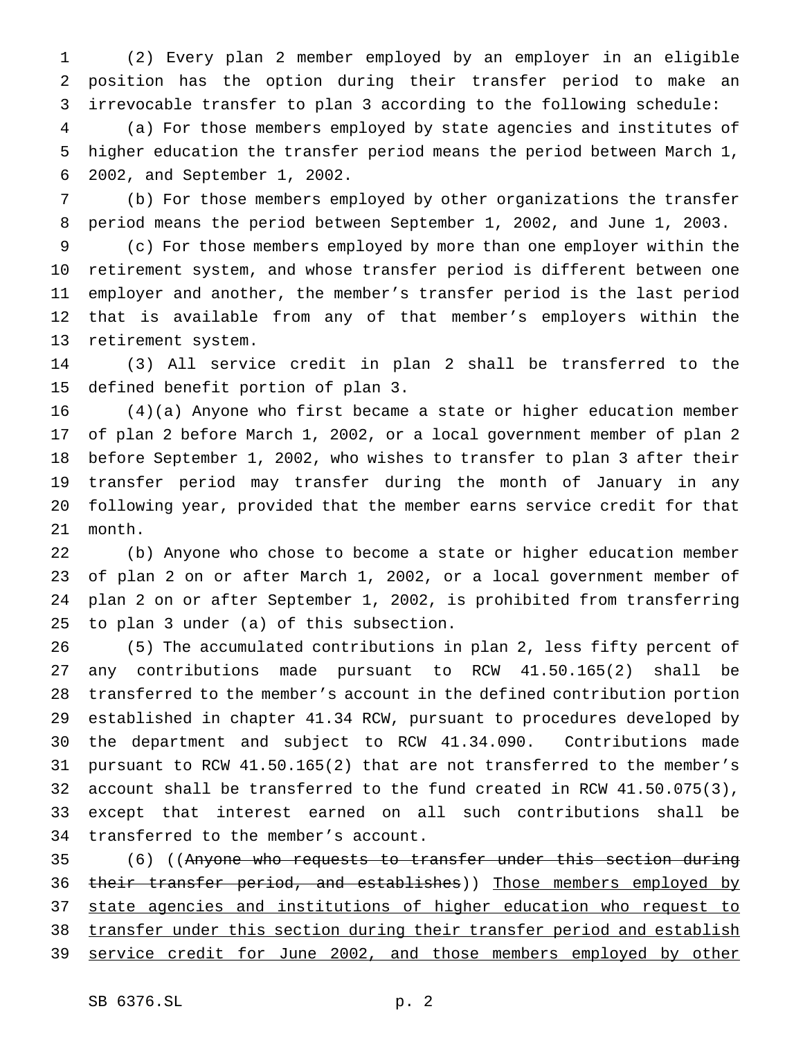(2) Every plan 2 member employed by an employer in an eligible position has the option during their transfer period to make an irrevocable transfer to plan 3 according to the following schedule:

 (a) For those members employed by state agencies and institutes of higher education the transfer period means the period between March 1, 2002, and September 1, 2002.

 (b) For those members employed by other organizations the transfer period means the period between September 1, 2002, and June 1, 2003.

 (c) For those members employed by more than one employer within the retirement system, and whose transfer period is different between one employer and another, the member's transfer period is the last period that is available from any of that member's employers within the retirement system.

 (3) All service credit in plan 2 shall be transferred to the defined benefit portion of plan 3.

 (4)(a) Anyone who first became a state or higher education member of plan 2 before March 1, 2002, or a local government member of plan 2 before September 1, 2002, who wishes to transfer to plan 3 after their transfer period may transfer during the month of January in any following year, provided that the member earns service credit for that month.

 (b) Anyone who chose to become a state or higher education member of plan 2 on or after March 1, 2002, or a local government member of plan 2 on or after September 1, 2002, is prohibited from transferring to plan 3 under (a) of this subsection.

 (5) The accumulated contributions in plan 2, less fifty percent of any contributions made pursuant to RCW 41.50.165(2) shall be transferred to the member's account in the defined contribution portion established in chapter 41.34 RCW, pursuant to procedures developed by the department and subject to RCW 41.34.090. Contributions made pursuant to RCW 41.50.165(2) that are not transferred to the member's account shall be transferred to the fund created in RCW 41.50.075(3), except that interest earned on all such contributions shall be transferred to the member's account.

 (6) ((Anyone who requests to transfer under this section during 36 their transfer period, and establishes)) Those members employed by state agencies and institutions of higher education who request to 38 transfer under this section during their transfer period and establish 39 service credit for June 2002, and those members employed by other